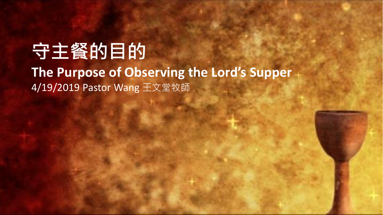## **守主餐的目的 The Purpose of Observing the Lord's Supper** 4/19/2019 Pastor Wang 王文堂牧師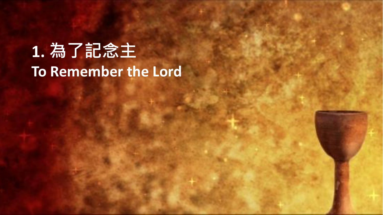# **1. 為了記念主 To Remember the Lord**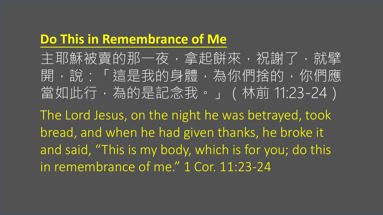#### **Do This in Remembrance of Me**

主耶穌被賣的那一夜,拿起餅來,祝謝了,就擘 開,說:「這是我的身體,為你們捨的,你們應 當如此行,為的是記念我。」(林前 11:23-24)

The Lord Jesus, on the night he was betrayed, took bread, and when he had given thanks, he broke it and said, "This is my body, which is for you; do this in remembrance of me." 1 Cor. 11:23-24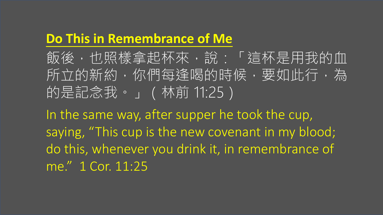#### **Do This in Remembrance of Me**

飯後,也照樣拿起杯來,說:「這杯是用我的血 所立的新約,你們每逢喝的時候,要如此行,為 的是記念我。」(林前 11:25)

In the same way, after supper he took the cup, saying, "This cup is the new covenant in my blood; do this, whenever you drink it, in remembrance of me." 1 Cor. 11:25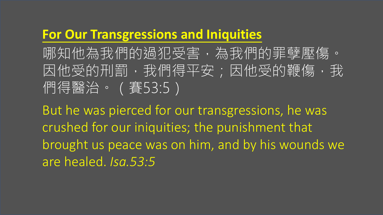#### **For Our Transgressions and Iniquities**

哪知他為我們的過犯受害,為我們的罪孽壓傷。 因他受的刑罰,我們得平安;因他受的鞭傷,我 們得醫治。(賽53:5)

But he was pierced for our transgressions, he was crushed for our iniquities; the punishment that brought us peace was on him, and by his wounds we are healed. *Isa.53:5*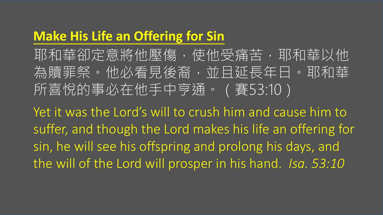#### **Make His Life an Offering for Sin**

耶和華卻定意將他壓傷,使他受痛苦,耶和華以他 為贖罪祭。他必看見後裔,並且延長年日。耶和華 所喜悅的事必在他手中亨通。(賽53:10)

Yet it was the Lord's will to crush him and cause him to suffer, and though the Lord makes his life an offering for sin, he will see his offspring and prolong his days, and the will of the Lord will prosper in his hand. *Isa. 53:10*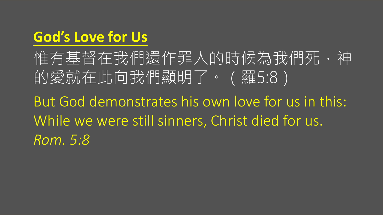## **God's Love for Us**

惟有基督在我們還作罪人的時候為我們死,神 的愛就在此向我們顯明了。(羅5:8) But God demonstrates his own love for us in this: While we were still sinners, Christ died for us. *Rom. 5:8*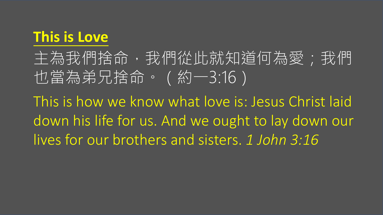### **This is Love**

主為我們捨命,我們從此就知道何為愛;我們 也當為弟兄捨命。(約一3:16)

This is how we know what love is: Jesus Christ laid down his life for us. And we ought to lay down our lives for our brothers and sisters. *1 John 3:16*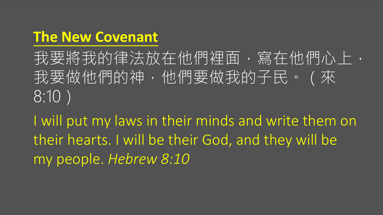### **The New Covenant**

我要將我的律法放在他們裡面,寫在他們心上, 我要做他們的神,他們要做我的子民。(來 8:10)

I will put my laws in their minds and write them on their hearts. I will be their God, and they will be my people. *Hebrew 8:10*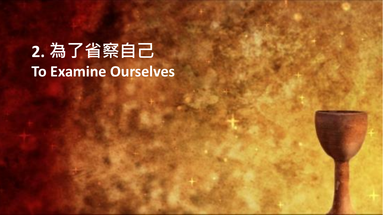# **2. 為了省察自己 To Examine Ourselves**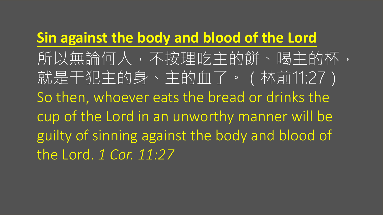### **Sin against the body and blood of the Lord**

所以無論何人,不按理吃主的餅、喝主的杯, 就是干犯主的身、主的血了。(林前11:27) So then, whoever eats the bread or drinks the cup of the Lord in an unworthy manner will be guilty of sinning against the body and blood of the Lord. *1 Cor. 11:27*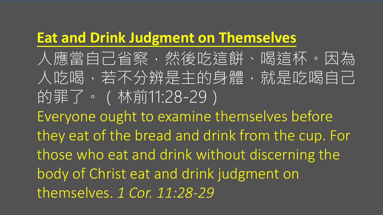#### **Eat and Drink Judgment on Themselves**

人應當自己省察,然後吃這餅、喝這杯。因為 人吃喝,若不分辨是主的身體,就是吃喝自己 的罪了。(林前11:28-29) Everyone ought to examine themselves before they eat of the bread and drink from the cup. For those who eat and drink without discerning the body of Christ eat and drink judgment on themselves. *1 Cor. 11:28-29*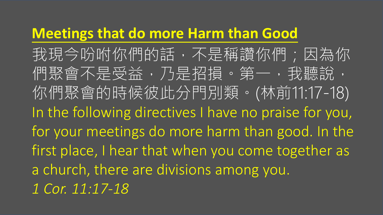#### **Meetings that do more Harm than Good**

我現今吩咐你們的話,不是稱讚你們;因為你 們聚會不是受益,乃是招損。第一,我聽說, 你們聚會的時候彼此分門別類。(林前11:17-18) In the following directives I have no praise for you, for your meetings do more harm than good. In the first place, I hear that when you come together as a church, there are divisions among you. *1 Cor. 11:17-18*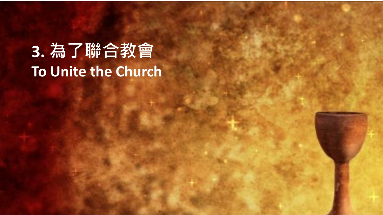# **3. 為了聯合教會 To Unite the Church**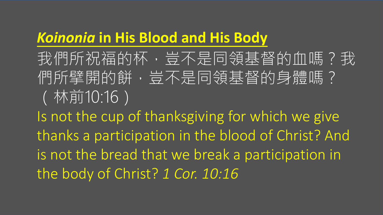### *Koinonia* **in His Blood and His Body**

我們所祝福的杯,豈不是同領基督的血嗎?我 們所擘開的餅,豈不是同領基督的身體嗎? (林前10:16)

Is not the cup of thanksgiving for which we give thanks a participation in the blood of Christ? And is not the bread that we break a participation in the body of Christ? *1 Cor. 10:16*